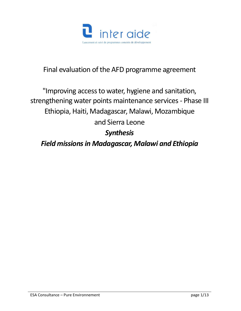

# Final evaluation of the AFD programme agreement

# "Improving access to water, hygiene and sanitation, strengthening water points maintenance services - Phase III Ethiopia, Haiti, Madagascar, Malawi, Mozambique and Sierra Leone *Synthesis Field missions in Madagascar, Malawi and Ethiopia*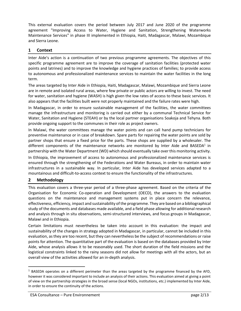This external evaluation covers the period between July 2017 and June 2020 of the programme agreement "Improving Access to Water, Hygiene and Sanitation, Strengthening Waterworks Maintenance Services" in phase III implemented in Ethiopia, Haiti, Madagascar, Malawi, Mozambique and Sierra Leone.

#### **1 Context**

Inter Aide's action is a continuation of two previous programme agreements. The objectives of this specific programme agreement are to improve the coverage of sanitation facilities (protected water points and latrines) and to improve the knowledge and hygiene practices of families; to provide access to autonomous and professionalized maintenance services to maintain the water facilities in the long term.

The areas targeted by Inter Aide in Ethiopia, Haiti, Madagascar, Malawi, Mozambique and Sierra Leone are in remote and isolated rural areas, where few private or public actors are willing to invest. The need for water, sanitation and hygiene (WASH) is high given the low rates of access to these basic services. It also appears that the facilities built were not properly maintained and the failure rates were high.

In Madagascar, in order to ensure sustainable management of the facilities, the water committees manage the infrastructure and monitoring is carried out either by a communal Technical Service for Water, Sanitation and Hygiene (STEAH) or by the local partner organisations Soakoja and Tehyna. Both provide ongoing support to the communes in their role as project owners.

In Malawi, the water committees manage the water points and can call hand pump technicians for preventive maintenance or in case of breakdown. Spare parts for repairing the water points are sold by partner shops that ensure a fixed price for the parts. These shops are supplied by a wholesaler. The different components of the maintenance networks are monitored by Inter Aide and BASEDA<sup>1</sup> in partnership with the Water Department (WD) which should eventually take over this monitoring activity.

In Ethiopia, the improvement of access to autonomous and professionalized maintenance services is ensured through the strengthening of the Federations and Water Bureaus, in order to maintain water infrastructures in a sustainable way. In particular, Inter Aide has developed services adapted to a mountainous and difficult-to-access context to ensure the functionality of the infrastructures.

### **2 Methodology**

l

This evaluation covers a three-year period of a three-phase agreement. Based on the criteria of the Organisation for Economic Co-operation and Development (OECD), the answers to the evaluation questions on the maintenance and management systems put in place concern the relevance, effectiveness, efficiency, impact and sustainability of the programme. They are based on a bibliographical study of the documents and databases made available, and a field phase allowing for additional research and analysis through in situ observations, semi-structured interviews, and focus groups in Madagascar, Malawi and in Ethiopia.

Certain limitations must nevertheless be taken into account in this evaluation: the impact and sustainability of the changes in strategy adopted in Madagascar, in particular, cannot be included in this evaluation, as they are too recent, but they can nevertheless be the subject of recommendations or raise points for attention. The quantitative part of the evaluation is based on the databases provided by Inter Aide, whose analysis allows it to be reasonably used. The short duration of the field missions and the logistical constraints linked to the rainy seasons did not allow for meetings with all the actors, but an overall view of the activities allowed for an in-depth analysis.

 $1$  BASEDA operates on a different perimeter than the areas targeted by the programme financed by the AFD, however it was considered important to include an analysis of their actions. This evaluation aimed at giving a point of view on the partnership strategies in the broad sense (local NGOs, institutions, etc.) implemented by Inter Aide, in order to ensure the continuity of the actions.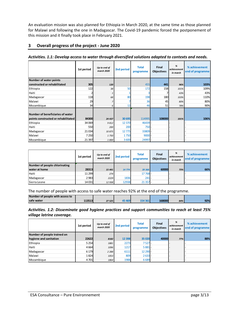An evaluation mission was also planned for Ethiopia in March 2020, at the same time as those planned for Malawi and following the one in Madagascar. The Covid-19 pandemic forced the postponement of this mission and it finally took place in February 2021.

#### **3 Overall progress of the project - June 2020**

| Activities. 1.1: Develop access to water through diversified solutions adapted to contexts and needs. |            |                            |            |                           |                            |                              |                                   |
|-------------------------------------------------------------------------------------------------------|------------|----------------------------|------------|---------------------------|----------------------------|------------------------------|-----------------------------------|
|                                                                                                       | 1st period | Up to end of<br>march 2020 | 2nd period | <b>Total</b><br>programme | Final<br><b>Objectives</b> | %<br>achievement<br>in march | % achievement<br>end of programme |
| Number of water points                                                                                |            |                            |            |                           |                            |                              |                                   |
| constructed or rehabilitated                                                                          | 305        | 120                        |            | 455                       | 441                        | 96%                          | 103%                              |
| Ethiopia                                                                                              | 122        | 38                         | 50         | 172                       | 158                        | 101%                         | 109%                              |
| Haiti                                                                                                 |            |                            |            |                           |                            | 43%                          | 43%                               |
| Madagascar                                                                                            | 118        | 68                         | 80         | 198                       | 180                        | 103%                         | 110%                              |
| Malawi                                                                                                | 29         |                            |            | 36                        | 45                         | 80%                          | 80%                               |
| Mozambique                                                                                            | 34         | 6                          | 12         | 46                        | 51                         | 78%                          | 90%                               |
| Number of beneficiaries of water<br>points constructed or rehabilitated                               | 84300      | 24 437                     | 30 695     | 114995                    | 108000                     | 101%                         | 106%                              |
| Ethiopia                                                                                              | 34 069     | 9812                       | 12 370     | 46439 -                   |                            |                              |                                   |
| Haiti                                                                                                 | 550        | 200                        | 200        | $750-$                    |                            |                              |                                   |
| Madagascar                                                                                            | 21034      | 10875                      | 12775      | 33809 -                   |                            |                              |                                   |
| Malawi                                                                                                | 7 2 5 0    | 1750                       | 1750       | $9000 -$                  |                            |                              |                                   |
| Mozambique                                                                                            | 21 3 97    | 1800                       | 3600       | 24997 -                   |                            |                              |                                   |

|                               | 1st period | Up to end of<br>march 2020 | 2nd period | <b>Total</b><br>programme | Final<br><b>Objectives</b> | %<br>achievement<br>in march | % achievement<br>end of programme |
|-------------------------------|------------|----------------------------|------------|---------------------------|----------------------------|------------------------------|-----------------------------------|
| Number of people chlorinating |            |                            |            |                           |                            |                              |                                   |
| water at home                 | 28313      | 15 441                     | 14774      | 39 366                    | 60000                      | 73%                          | 66%                               |
| Haiti                         | 11 2 9 9   | 274                        |            | 17 768 -                  |                            |                              |                                   |
| Madagascar                    | 2983       | 2229                       | 1836       | $241 -$                   |                            |                              |                                   |
| Sierra Leone                  | 14 0 31    | 12 938                     | 12938      | $21357 -$                 |                            |                              |                                   |

The number of people with access to safe water reaches 92% at the end of the programme.

| Number of people with access to |        |        |        |         |        |     |     |
|---------------------------------|--------|--------|--------|---------|--------|-----|-----|
| safe water                      | 113513 | 27 525 | 454469 | 154 361 | 168000 | 84% | 92% |

|                           |  |  |  | Activities. 1.2: Disseminate good hygiene practices and support communities to reach at least 75% |  |  |  |
|---------------------------|--|--|--|---------------------------------------------------------------------------------------------------|--|--|--|
| village latrine coverage. |  |  |  |                                                                                                   |  |  |  |

|                             | 1st period | Up to end of<br>march 2020 | 2nd period | <b>Total</b><br>programme | Final<br><b>Objectives</b> | %<br>achievement<br>in march | % achievement<br>end of programme |
|-----------------------------|------------|----------------------------|------------|---------------------------|----------------------------|------------------------------|-----------------------------------|
| Number of people trained on |            |                            |            |                           |                            |                              |                                   |
| hygiene and sanitation      | 22622      | 8182                       | 12 3 98    | 35 0 20                   | 40000                      | 77%                          | 88%                               |
| Ethiopia                    | 5 2 5 4    | 1881                       | 2273       | $7527 -$                  |                            |                              |                                   |
| Haiti                       | 4664       | 1096                       | 1217       | $5881 -$                  |                            |                              | $\overline{\phantom{a}}$          |
| Madagascar                  | 6 1 7 9    | 2 2 8 8                    | 6111       | 12 290 -                  |                            |                              | -                                 |
| Malawi                      | 1824       | 1053                       | 809        | $2633 -$                  |                            |                              |                                   |
| Mozambique                  | 4701       | 1864                       | 1988       | 6689 -                    |                            |                              | $\overline{\phantom{0}}$          |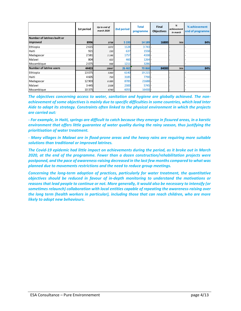|                                | 1st period | Up to end of<br>march 2020 | 2nd period | <b>Total</b><br>programme | Final<br><b>Objectives</b> | %<br>achievement<br>in march | % achievement<br>end of programme |
|--------------------------------|------------|----------------------------|------------|---------------------------|----------------------------|------------------------------|-----------------------------------|
| Number of latrines built or    |            |                            |            |                           |                            |                              |                                   |
| improved                       | 8996       | 3738                       | 5 1 9 3    | 14 189                    | 16800                      | 76%                          | 84%                               |
| Ethiopia                       | 2615       | 1072                       | 1128       | 3743                      |                            |                              |                                   |
| Haiti                          | 921        | 150                        | 637        | $1558 -$                  |                            |                              |                                   |
| Madagascar                     | 2581       | 1 1 4 6                    | 1757       | 4338                      |                            |                              |                                   |
| Malawi                         | 804        | 422                        | 460        | 1264                      |                            |                              |                                   |
| Mozambique                     | 2075       | 948                        | 1211       | 3286                      |                            |                              |                                   |
| <b>Number of latrine users</b> | 44403      | 19047                      | 26 4 65    | 70868                     | 84000                      | 76%                          | 84%                               |
| Ethiopia                       | 13075      | 5360                       | 6140       | 19 2 15                   |                            |                              |                                   |
| Haiti                          | 4605       | 750                        | 3185       | 7790                      |                            |                              |                                   |
| Madagascar                     | 12 903     | 6089                       | 8785       | 21688 -                   |                            |                              |                                   |
| Malawi                         | 3 4 4 5    | 2108                       | 2300       | $5745 -$                  |                            |                              |                                   |
| Mozambique                     | 10 375     | 4740                       | 6055       | 16430                     |                            |                              |                                   |

*The objectives concerning access to water, sanitation and hygiene are globally achieved. The nonachievement of some objectives is mainly due to specific difficulties in some countries, which lead Inter Aide to adapt its strategy. Constraints often linked to the physical environment in which the projects are carried out:* 

*- For example, in Haiti, springs are difficult to catch because they emerge in fissured areas, in a karstic environment that offers little guarantee of water quality during the rainy season, thus justifying the prioritisation of water treatment.*

*- Many villages in Malawi are in flood-prone areas and the heavy rains are requiring more suitable solutions than traditional or improved latrines.*

*The Covid-19 epidemic had little impact on achievements during the period, as it broke out in March 2020, at the end of the programme. Fewer than a dozen construction/rehabilitation projects were postponed, and the pace of awareness-raising decreased in the last few months compared to what was planned due to movements restrictions and the need to reduce group meetings.*

*Concerning the long-term adoption of practices, particularly for water treatment, the quantitative objectives should be reduced in favour of in-depth monitoring to understand the motivations or reasons that lead people to continue or not. More generally, it would also be necessary to intensify (or sometimes relaunch) collaboration with local entities capable of repeating the awareness-raising over the long term (health workers in particular), including those that can reach children, who are more likely to adopt new behaviours.*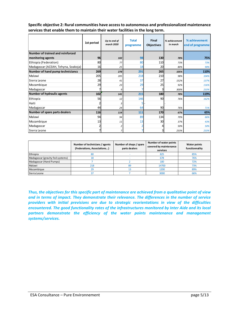|                                     | 1st period | Up to end of<br>march 2020 | <b>Total</b><br>programme | Final<br><b>Objectives</b> | % achievement<br>in march | % achievement<br>end of programme |
|-------------------------------------|------------|----------------------------|---------------------------|----------------------------|---------------------------|-----------------------------------|
| Number of trained and reinforced    |            |                            |                           |                            |                           |                                   |
| monitoring agents                   | 96         | 102                        | 98                        | 130                        | 78%                       | 75%                               |
| Ethiopia (Federation)               | 80         | 77                         | 80                        | 110                        | 73%                       | 73%                               |
| Madagascar (ACEAH, Tehyna, Soakoja) | 16         | 25                         | 18                        | 20                         | 80%                       | 90%                               |
| Number of hand pump techniciancs    | 269        | 278                        | 291                       | 265                        | 105%                      | 110%                              |
| Malawi                              | 205        | 205                        | 218                       | 210                        | 98%                       | 104%                              |
| Sierra Leone                        | 28         | 41                         | 37                        | 27                         | 152%                      | 137%                              |
| Mozambique                          | 29         | 23                         | 29                        | 25                         | 92%                       | 116%                              |
| Madagascar                          |            | 9                          |                           |                            | 300%                      | 233%                              |
| Number of hydraulic agents          | 102        | 141                        | 215                       | 180                        | 78%                       | 119%                              |
| Ethiopia                            | 56         | 12                         | 146                       | 90                         | 76%                       | 162%                              |
| Haiti                               |            | 3                          |                           |                            |                           |                                   |
| Madagascar                          | 44         | 24                         | 64                        | 90                         | 76%                       | 71%                               |
| Number of spare parts dealers       | 116        | 114                        | 111                       | 170                        | 67%                       | 65%                               |
| Malawi                              | 94         | 94                         | 89                        | 134                        | 70%                       | 66%                               |
| Mozambique                          | 13         | 11                         | 13                        | 30                         | 37%                       | 43%                               |
| Madagascar                          |            | $\overline{2}$             |                           |                            | 50%                       | 50%                               |
| Sierra Leone                        |            | $\overline{7}$             |                           |                            | 233%                      | 233%                              |

**Specific objective 2: Rural communities have access to autonomous and professionalized maintenance services that enable them to maintain their water facilities in the long term.**

|                                  | Number of technicians / agents<br>(Federations, Associations) | Number of shops / spare<br>parts dealers | Number of water points<br>covered by maintenance<br>services | Water points<br>functionnality |
|----------------------------------|---------------------------------------------------------------|------------------------------------------|--------------------------------------------------------------|--------------------------------|
| Ethiopia                         | 80                                                            |                                          | 825                                                          | 85%                            |
| Madagascar (gravity fed systems) | 18                                                            |                                          | 678                                                          | 76%                            |
| Madagascar (Hand Pumps)          |                                                               |                                          | 100                                                          | 72%                            |
| Malawi                           | 218                                                           | 89                                       | 14700                                                        | 73%                            |
| Mozambique                       | 29                                                            |                                          | 1200                                                         | 89%                            |
| Sierra Leone                     | 37                                                            |                                          | 3000                                                         | 66%                            |

*Thus, the objectives for this specific part of maintenance are achieved from a qualitative point of view and in terms of impact. They demonstrate their relevance. The differences in the number of service providers with initial previsions are due to strategic reorientations in view of the difficulties encountered. The good functionality rates of the infrastructures monitored by Inter Aide and its local*  partners demonstrate the efficiency of the water points maintenance and management *systems/services.*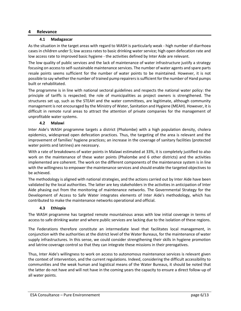#### **4 Relevance**

#### **4.1 Madagascar**

As the situation in the target areas with regard to WASH is particularly weak - high number of diarrhoea cases in children under 5; low access rates to basic drinking water service; high open defecation rate and low access rate to improved basic hygiene - the activities defined by Inter Aide are relevant.

The low quality of public services and the lack of maintenance of water infrastructure justify a strategy focusing on access to self-sustainable maintenance services. The number of water agents and spare parts resale points seems sufficient for the number of water points to be maintained. However, it is not possible to say whether the number of trained pump repairers is sufficient for the number of Hand pumps built or rehabilitated.

The programme is in line with national sectoral guidelines and respects the national water policy: the principle of tariffs is respected; the role of municipalities as project owners is strengthened. The structures set up, such as the STEAH and the water committees, are legitimate, although community management is not encouraged by the Ministry of Water, Sanitation and Hygiene (MEAH). However, it is difficult in remote rural areas to attract the attention of private companies for the management of unprofitable water systems.

### **4.2 Malawi**

Inter Aide's WASH programme targets a district (Phalombe) with a high population density, cholera epidemics, widespread open defecation practices. Thus, the targeting of the area is relevant and the improvement of families' hygiene practices; an increase in the coverage of sanitary facilities (protected water points and latrines) are necessary.

With a rate of breakdowns of water points in Malawi estimated at 33%, it is completely justified to also work on the maintenance of these water points (Phalombe and 6 other districts) and the activities implemented are coherent. The work on the different components of the maintenance system is in line with the willingness to empower the maintenance services and should enable the targeted objectives to be achieved.

The methodology is aligned with national strategies, and the actions carried out by Inter Aide have been validated by the local authorities. The latter are key stakeholders in the activities in anticipation of Inter Aide phasing out from the monitoring of maintenance networks. The Governmental Strategy for the Development of Access to Safe Water integrates elements of Inter Aide's methodology, which has contributed to make the maintenance networks operational and official.

#### **4.3 Ethiopia**

The WASH programme has targeted remote mountainous areas with low initial coverage in terms of access to safe drinking water and where public services are lacking due to the isolation of these regions.

The Federations therefore constitute an intermediate level that facilitates local management, in conjunction with the authorities at the district level of the Water Bureaus, for the maintenance of water supply infrastructures. In this sense, we could consider strengthening their skills in hygiene promotion and latrine coverage control so that they can integrate these missions in their prerogatives.

Thus, Inter Aide's willingness to work on access to autonomous maintenance services is relevant given the context of intervention, and the current regulations. Indeed, considering the difficult accessibility to communities and the weak human and logistical means of the Water Bureaus, it should be noted that the latter do not have and will not have in the coming years the capacity to ensure a direct follow-up of all water points.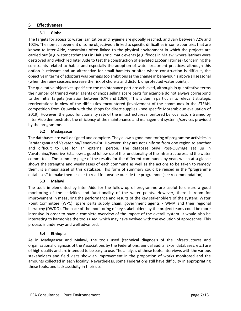#### **5 Effectiveness**

### **5.1 Global**

The targets for access to water, sanitation and hygiene are globally reached, and vary between 72% and 102%. The non-achievement of some objectives is linked to specific difficulties in some countries that are known to Inter Aide, constraints often linked to the physical environment in which the projects are carried out (e.g. water catchments in Haiti) or climatic events (e.g. floods in Malawi where latrines were destroyed and which led Inter Aide to test the construction of elevated EcoSan latrines) Concerning the constraints related to habits and especially the adoption of water treatment practices, although this option is relevant and an alternative for small hamlets or sites where construction is difficult, the objective in terms of adopters was perhaps too ambitious as the change in behaviour is above all seasonal (when the rainy seasons increase the risk of cholera and disturb unprotected water points).

The qualitative objectives specific to the maintenance part are achieved, although in quantitative terms the number of trained water agents or shops selling spare parts for example do not always correspond to the initial targets (variation between 67% and 106%). This is due in particular to relevant strategic reorientations in view of the difficulties encountered (involvement of the communes in the STEAH, competition from Osuwela with the shops for direct supplies - see specific Mozambique evaluation of 2019). However, the good functionality rate of the infrastructures monitored by local actors trained by Inter Aide demonstrates the efficiency of the maintenance and management systems/services provided by the programme.

#### **5.2 Madagascar**

The databases are well designed and complete. They allow a good monitoring of programme activities in Farafangana and Vavatenina/Fenerive-Est. However, they are not uniform from one region to another and difficult to use for an external person. The database Suivi Post-Ouvrage set up in Vavatenina/Fenerive-Est allows a good follow-up of the functionality of the infrastructures and the water committees. The summary page of the results for the different communes by year, which at a glance shows the strengths and weaknesses of each commune as well as the actions to be taken to remedy them, is a major asset of this database. This form of summary could be reused in the "programme databases" to make them easier to read for anyone outside the programme (see recommendation).

#### **5.3 Malawi**

The tools implemented by Inter Aide for the follow-up of programme are useful to ensure a good monitoring of the activities and functionality of the water points. However, there is room for improvement in measuring the performance and results of the key stakeholders of the system: Water Point Committee (WPC), spare parts supply chain, government agents - WMA and their regional hierarchy (DWDO). The pace of the monitoring of key stakeholders by the project teams could be more intensive in order to have a complete overview of the impact of the overall system. It would also be interesting to harmonise the tools used, which may have evolved with the evolution of approaches. This process is underway and well advanced.

#### **5.4 Ethiopia**

As in Madagascar and Malawi, the tools used (technical diagnosis of the infrastructures and organisational diagnosis of the Associations by the Federations, annual audits, Excel databases, etc.) are of high quality and are intended to be easy to use. The analysis of these tools, interviews with the various stakeholders and field visits show an improvement in the proportion of works monitored and the amounts collected in each locality. Nevertheless, some Federations still have difficulty in appropriating these tools, and lack assiduity in their use.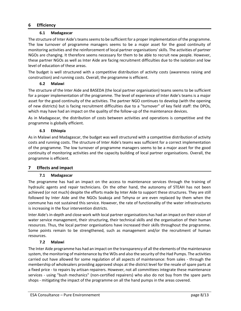# **6 Efficiency**

### **6.1 Madagascar**

The structure of Inter Aide's teams seems to be sufficient for a proper implementation of the programme. The low turnover of programme managers seems to be a major asset for the good continuity of monitoring activities and the reinforcement of local partner organisations' skills. The activities of partner NGOs are changing. It therefore seems necessary for them to be able to recruit new people. However, these partner NGOs as well as Inter Aide are facing recruitment difficulties due to the isolation and low level of education of these areas.

The budget is well structured with a competitive distribution of activity costs (awareness raising and construction) and running costs. Overall, the programme is efficient.

### **6.2 Malawi**

The structure of the Inter Aide and BASEDA (the local partner organisation) teams seems to be sufficient for a proper implementation of the programme. The level of experience of Inter Aide's teams is a major asset for the good continuity of the activities. The partner NGO continues to develop (with the opening of new districts) but is facing recruitment difficulties due to a "turnover" of key field staff: the DPOs, which may have had an impact on the quality of the follow-up of the maintenance devices.

As in Madagascar, the distribution of costs between activities and operations is competitive and the programme is globally efficient.

# **6.3 Ethiopia**

As in Malawi and Madagascar, the budget was well structured with a competitive distribution of activity costs and running costs. The structure of Inter Aide's teams was sufficient for a correct implementation of the programme. The low turnover of programme managers seems to be a major asset for the good continuity of monitoring activities and the capacity building of local partner organisations. Overall, the programme is efficient.

### **7 Effects and impact**

### **7.1 Madagascar**

The programme has had an impact on the access to maintenance services through the training of hydraulic agents and repair technicians. On the other hand, the autonomy of STEAH has not been achieved (or not much) despite the efforts made by Inter Aide to support these structures. They are still followed by Inter Aide and the NGOs Soakoja and Tehyna or are even replaced by them when the commune has not sustained this service. However, the rate of functionality of the water infrastructures is increasing in the four intervention districts.

Inter Aide's in-depth and close work with local partner organisations has had an impact on their vision of water service management, their structuring, their technical skills and the organisation of their human resources. Thus, the local partner organisations have increased their skills throughout the programme. Some points remain to be strengthened, such as management and/or the recruitment of human resources.

### **7.2 Malawi**

The Inter Aide programme has had an impact on the transparency of all the elements of the maintenance system, the monitoring of maintenance by the WDs and also the security of the Had Pumps. The activities carried out have allowed for some regulation of all aspects of maintenance: from sales - through the membership of wholesalers providing approved shops at the district level for the resale of spare parts at a fixed price - to repairs by artisan repairers. However, not all committees integrate these maintenance services - using "bush mechanics" (non-certified repairers) who also do not buy from the spare parts shops - mitigating the impact of the programme on all the hand pumps in the areas covered.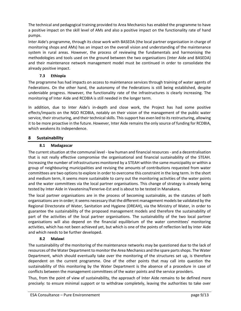The technical and pedagogical training provided to Area Mechanics has enabled the programme to have a positive impact on the skill level of AMs and also a positive impact on the functionality rate of hand pumps.

Inter Aide's programme, through its close work with BASEDA (the local partner organisation in charge of monitoring shops and AMs) has an impact on the overall vision and understanding of the maintenance system in rural areas. However, the process of reviewing the fundamentals and harmonising the methodologies and tools used on the ground between the two organisations (Inter Aide and BASEDA) and their maintenance network management model must be continued in order to consolidate the already positive impact.

# **7.3 Ethiopia**

The programme has had impacts on access to maintenance services through training of water agents of Federations. On the other hand, the autonomy of the Federations is still being established, despite undeniable progress. However, the functionality rate of the infrastructures is clearly increasing. The monitoring of Inter Aide and RCDBIA is still needed in the longer term.

In addition, due to Inter Aide's in-depth and close work, the Project has had some positive effects/impacts on the NGO RCDBIA, notably on their vision of the management of the public water service, their structuring, and their technical skills. This support has even led to its restructuring, allowing it to be more proactive in the future. However, Inter Aide remains the only source of funding for RCDBIA, which weakens its independence.

# **8 Sustainability**

### **8.1 Madagascar**

The current situation at the communal level - low human and financial resources - and a decentralisation that is not really effective compromise the organisational and financial sustainability of the STEAH. Increasing the number of infrastructures monitored by a STEAH within the same municipality or within a group of neighbouring municipalities and revising the amounts of contributions requested from water committees are two options to explore in order to overcome this constraint in the long term. In the short and medium term, it seems more sustainable to carry out the monitoring activities of the water points and the water committees via the local partner organisations. This change of strategy is already being tested by Inter Aide in Vavatenina/Fenerive-Est and is about to be tested in Manakara.

The local partner organisations are in the process of becoming sustainable, as the statutes of both organisations are in order; it seems necessary that the different management models be validated by the Regional Directorate of Water, Sanitation and Hygiene (DREAH), via the Ministry of Water, in order to guarantee the sustainability of the proposed management models and therefore the sustainability of part of the activities of the local partner organisations. The sustainability of the two local partner organisations will also depend on the financial equilibrium of the water committees' monitoring activities, which has not been achieved yet, but which is one of the points of reflection led by Inter Aide and which needs to be further developed.

### **8.2 Malawi**

The sustainability of the monitoring of the maintenance networks may be questioned due to the lack of resources of the Water Department to monitor the Area Mechanics and the spare parts shops. The Water Department, which should eventually take over the monitoring of the structures set up, is therefore dependent on the current programme. One of the other points that may call into question the sustainability of this monitoring by the Water Department is the absence of a procedure in case of conflicts between the management committees of the water points and the service providers.

Thus, from the point of view of sustainability, the approach of Inter Aide remains to be defined more precisely: to ensure minimal support or to withdraw completely, leaving the authorities to take over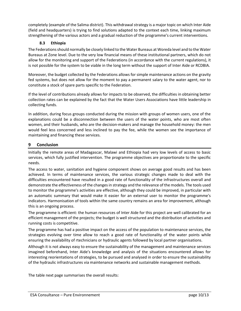completely (example of the Salima district). This withdrawal strategy is a major topic on which Inter Aide (field and headquarters) is trying to find solutions adapted to the context each time, linking maximum strengthening of the various actors and a gradual reduction of the programme's current interventions.

# **8.3 Ethiopia**

The Federations should normally be closely linked to the Water Bureaus at Woreda level and to the Water Bureaus at Zone level. Due to the very low financial means of these institutional partners, which do not allow for the monitoring and support of the Federations (in accordance with the current regulations), it is not possible for the system to be viable in the long term without the support of Inter Aide or RCDBIA.

Moreover, the budget collected by the Federations allows for simple maintenance actions on the gravity fed systems, but does not allow for the moment to pay a permanent salary to the water agent, nor to constitute a stock of spare parts specific to the Federation.

If the level of contributions already allows for impacts to be observed, the difficulties in obtaining better collection rates can be explained by the fact that the Water Users Associations have little leadership in collecting funds.

In addition, during focus groups conducted during the mission with groups of women users, one of the explanations could be a disconnection between the users of the water points, who are most often women, and their husbands, who are the decision-makers and manage the household money: the men would feel less concerned and less inclined to pay the fee, while the women see the importance of maintaining and financing these services.

# **9 Conclusion**

Initially the remote areas of Madagascar, Malawi and Ethiopia had very low levels of access to basic services, which fully justified intervention. The programme objectives are proportionate to the specific needs.

The access to water, sanitation and hygiene component shows on average good results and has been achieved. In terms of maintenance services, the various strategic changes made to deal with the difficulties encountered have resulted in a good rate of functionality of the infrastructures overall and demonstrate the effectiveness of the changes in strategy and the relevance of the models. The tools used to monitor the programme's activities are effective, although they could be improved, in particular with an automatic summary that would make it easier for an external user to monitor the programme's indicators. Harmonisation of tools within the same country remains an area for improvement, although this is an ongoing process.

The programme is efficient: the human resources of Inter Aide for this project are well calibrated for an efficient management of the projects; the budget is well structured and the distribution of activities and running costs is competitive.

The programme has had a positive impact on the access of the population to maintenance services, the strategies evolving over time allow to reach a good rate of functionality of the water points while ensuring the availability of rtechnicians or hydraulic agents followed by local partner organisations.

Although it is not always easy to ensure the sustainability of the management and maintenance services imagined beforehand, Inter Aide's knowledge and analysis of the situations encountered allows for interesting reorientations of strategies, to be pursued and analysed in order to ensure the sustainability of the hydraulic infrastructures via maintenance networks and sustainable management methods.

The table next page summarises the overall results: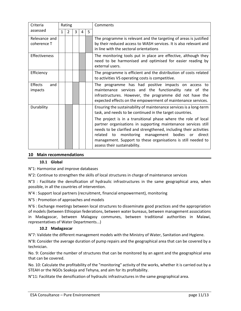| Criteria                     | Rating       |                |   |   |    | Comments                                                                                                                                                                                                                                                                                                                                                                           |
|------------------------------|--------------|----------------|---|---|----|------------------------------------------------------------------------------------------------------------------------------------------------------------------------------------------------------------------------------------------------------------------------------------------------------------------------------------------------------------------------------------|
| assessed                     | $\mathbf{1}$ | $\overline{2}$ | 3 | 4 | 5. |                                                                                                                                                                                                                                                                                                                                                                                    |
| Relevance and<br>coherence T |              |                |   |   |    | The programme is relevant and the targeting of areas is justified<br>by their reduced access to WASH services. It is also relevant and<br>in line with the sectoral orientations                                                                                                                                                                                                   |
| <b>Effectiveness</b>         |              |                |   |   |    | The monitoring tools put in place are effective, although they<br>need to be harmonised and optimised for easier reading by<br>external users.                                                                                                                                                                                                                                     |
| Efficiency                   |              |                |   |   |    | The programme is efficient and the distribution of costs related<br>to activities VS operating costs is competitive.                                                                                                                                                                                                                                                               |
| Effects<br>and<br>impacts    |              |                |   |   |    | The programme has had positive impacts on access to<br>maintenance services and the functionality rate of the<br>infrastructures. However, the programme did not have the<br>expected effects on the empowerment of maintenance services.                                                                                                                                          |
| Durability                   |              |                |   |   |    | Ensuring the sustainability of maintenance services is a long-term<br>task, and needs to be continued in the target countries.                                                                                                                                                                                                                                                     |
|                              |              |                |   |   |    | The project is in a transitional phase where the role of local<br>partner organisations in supporting maintenance services still<br>needs to be clarified and strengthened, including their activities<br>monitoring<br>management bodies<br>direct<br>related<br>to<br><b>or</b><br>management. Support to these organisations is still needed to<br>assess their sustainability. |

#### **10 Main recommendations**

#### **10.1 Global**

N°1: Harmonise and improve databases

N°2: Continue to strengthen the skills of local structures in charge of maintenance services

N°3 : Facilitate the densification of hydraulic infrastructures in the same geographical area, when possible, in all the countries of intervention.

N°4 : Support local partners (recruitment, financial empowerment), monitoring

N°5 : Promotion of approaches and models

N°6 : Exchange meetings between local structures to disseminate good practices and the appropriation of models (between Ethiopian federations, between water bureaus, between management associations in Madagascar, between Malagasy communes, between traditional authorities in Malawi, representatives of Water Departments...)

#### **10.2 Madagascar**

N°7: Validate the different management models with the Ministry of Water, Sanitation and Hygiene.

N°8: Consider the average duration of pump repairs and the geographical area that can be covered by a technician.

No. 9: Consider the number of structures that can be monitored by an agent and the geographical area that can be covered.

No. 10: Calculate the profitability of the "monitoring" activity of the works, whether it is carried out by a STEAH or the NGOs Soakoja and Tehyna, and aim for its profitability.

N°11: Facilitate the densification of hydraulic infrastructures in the same geographical area.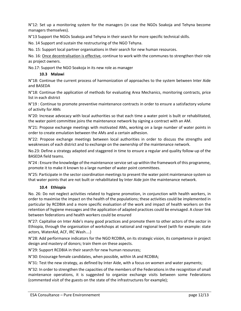N°12: Set up a monitoring system for the managers (in case the NGOs Soakoja and Tehyna become managers themselves).

N°13 Support the NGOs Soakoja and Tehyna in their search for more specific technical skills.

No. 14 Support and sustain the restructuring of the NGO Tehyna.

No. 15: Support local partner organisations in their search for new human resources.

No. 16: Once decentralisation is effective, continue to work with the communes to strengthen their role as project owners.

No.17: Support the NGO Soakoja in its new role as manager

# **10.3 Malawi**

N°18: Continue the current process of harmonization of approaches to the system between Inter Aide and BASEDA

N°18: Continue the application of methods for evaluating Area Mechanics, monitoring contracts, price list in each district

N°19 : Continue to promote preventive maintenance contracts in order to ensure a satisfactory volume of activity for AMs

N°20: Increase advocacy with local authorities so that each time a water point is built or rehabilitated, the water point committee joins the maintenance network by signing a contract with an AM.

N°21: Propose exchange meetings with motivated AMs, working on a large number of water points in order to create emulation between the AMs and a certain adhesion.

N°22: Propose exchange meetings between local authorities in order to discuss the strengths and weaknesses of each district and to exchange on the ownership of the maintenance network.

No.23: Define a strategy adapted and staggered in time to ensure a regular and quality follow-up of the BASEDA field teams.

N°24 : Ensure the knowledge of the maintenance service set up within the framework of this programme, promote it to make it known to a large number of water point committees.

N°25: Participate in the sector coordination meetings to present the water point maintenance system so that water points that are not built or rehabilitated by Inter Aide join the maintenance network.

### **10.4 Ethiopia**

No. 26: Do not neglect activities related to hygiene promotion, in conjunction with health workers, in order to maximise the impact on the health of the populations; these activities could be implemented in particular by RCDBIA and a more specific evaluation of the work and impact of health workers on the retention of hygiene messages and the application of adapted practices could be envisaged. A closer link between federations and health workers could be ensured

N°27: Capitalise on Inter Aide's many good practices and promote them to other actors of the sector in Ethiopia, through the organisation of workshops at national and regional level (with for example: state actors, WaterAid, ACF, IRC Wash....)

N°28: Add performance indicators for the NGO RCDBIA, on its strategic vision, its competence in project design and mastery of donors; train them on these aspects.

N°29: Support RCDBIA in their search for new human resources;

N°30: Encourage female candidates, when possible, within IA and RCDBIA;

N°31: Test the new strategy, as defined by Inter Aide, with a focus on women and water payments;

N°32: In order to strengthen the capacities of the members of the Federations in the recognition of small maintenance operations, it is suggested to organize exchange visits between some Federations (commented visit of the guests on the state of the infrastructures for example);